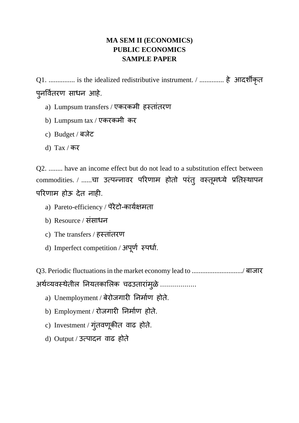## **MA SEM II (ECONOMICS) PUBLIC ECONOMICS SAMPLE PAPER**

Q1. ............... is the idealized redistributive instrument. / .............. हे आदर्शीक ृत प ु नर्वति रण साधन आहे.

- a) Lumpsum transfers / एकरकमी हस्तांतरण
- b) Lumpsum tax / एकरकमी कर
- c) Budget / बजेट
- d) Tax / कर

Q2. ........ have an income effect but do not lead to a substitution effect between commodities. / ......चा उत्पन्नावर परिणाम होतो परंतु वस्तूमध्ये प्रतिस्थापन पररणाम होऊ देत नाही.

- a) Pareto-efficiency / पॅरेटो-कायिक्षमता
- b) Resource / सांसाधन
- c) The transfers / हस्तांतरण
- d) Imperfect competition / अपूर्ण स्पर्धा.

Q3. Periodic fluctuations in the market economy lead to ............................./ बाजार अथेव्यवस्थेतील नियतकालिक चढउतारामुळे ..................

- a) Unemployment / बेरोजगारी तनमािण होते.
- b) Employment / रोजगारी निर्माण होते.
- c) Investment / गुंतवणूकीत वाढ होते.
- d) Output / उत्पादन वाढ होते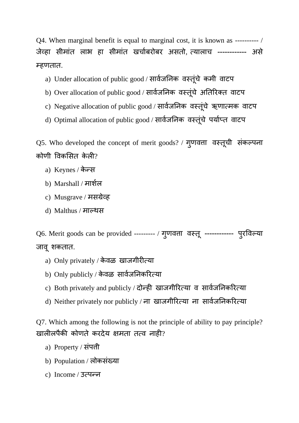Q4. When marginal benefit is equal to marginal cost, it is known as ---------- / जेव्हा सीमाांत लाभ हा सीमाांत खचािबरोबर असतो, त्यालाच ------------ असे म्हणतात.

- a) Under allocation of public good / सार्वजनिक वस्तूचे कमी वाटप
- b) Over allocation of public good / सार्वजनिक वस्तूचे अतिरिक्त वाटप
- c) Negative allocation of public good / सार्वजनिक वस्तूंचे ऋणात्मक वाटप
- d) Optimal allocation of public good / सार्वजनिक वस्तूंचे पर्याप्त वाटप

Q5. Who developed the concept of merit goods? / गुणवत्ता वस्तूची संकल्पना कोणी विकसित केली?

- a) Keynes / केन्स
- b) Marshall / मार्शिल
- c) Musgrave / मसग्रेव्ह
- d) Malthus / माल्थस

Q6. Merit goods can be provided --------- / ग ु णवत्ता वसतू ------------ प ुरर्वल्या जाव ू र्शकतात.

- a) Only privately / के वळ खाजगीरीत्या
- b) Only publicly / केवळ सार्वजनिकरित्या
- c) Both privately and publicly / दोन्ही खाजगीरित्या व सार्वजनिकरित्या
- d) Neither privately nor publicly / ना खाजगीरित्या ना सार्वजनिकरित्या

Q7. Which among the following is not the principle of ability to pay principle? खालीलपैकी कोणते करदेय क्षमता तत्व नाही?

- a) Property / संपत्ती
- b) Population / लोकसांख्या
- c) Income / उत्पन्न